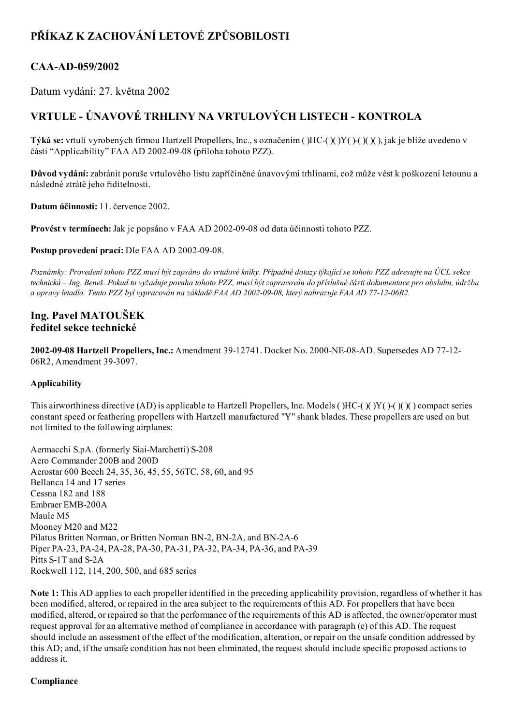# PŘÍKAZ K ZACHOVÁNÍ LETOVÉ ZPŮSOBILOSTI

## CAA-AD-059/2002

Datum vydání: 27. května 2002

## VRTULE ÚNAVOVÉ TRHLINY NA VRTULOVÝCH LISTECH KONTROLA

Týká se: vrtulí vyrobených firmou Hartzell Propellers, Inc., s označením ( )HC( )( )Y( )( )( )( ), jak je blíže uvedeno v části "Applicability" FAA AD 2002-09-08 (příloha tohoto PZZ).

Důvod vydání: zabránit poruše vrtulového listu zapříčiněné únavovými trhlinami, což může vést k poškození letounu a následné ztrátě jeho řiditelnosti.

Datum účinnosti: 11. července 2002.

Provést v termínech: Jak je popsáno v FAA AD 2002-09-08 od data účinnosti tohoto PZZ.

Postup provedení prací: Dle FAA AD 2002-09-08.

Poznámky: Provedení tohoto PZZ musí být zapsáno do vrtulové knihy. Případné dotazy týkající se tohoto PZZ adresujte na ÚCL sekce technická – Ing. Beneš. Pokud to vyžaduje povaha tohoto PZZ, musí být zapracován do příslušné části dokumentace pro obsluhu, údržbu a opravy letadla. Tento PZZ byl vypracován na základě FAA AD 2002-09-08, který nahrazuje FAA AD 77-12-06R2.

### Ing. Pavel MATOUŠEK ředitel sekce technické

2002-09-08 Hartzell Propellers, Inc.: Amendment 39-12741. Docket No. 2000-NE-08-AD. Supersedes AD 77-12-06R2, Amendment 39-3097.

#### Applicability

This airworthiness directive (AD) is applicable to Hartzell Propellers, Inc. Models ( $\text{HCl}(Y)(Y)$  ( $\text{C}(Y)$ ) compact series constant speed or feathering propellers with Hartzell manufactured "Y" shank blades. These propellers are used on but not limited to the following airplanes:

Aermacchi S.pA. (formerly Siai-Marchetti) S-208 Aero Commander 200B and 200D Aerostar 600 Beech 24, 35, 36, 45, 55, 56TC, 58, 60, and 95 Bellanca 14 and 17 series Cessna 182 and 188 Embraer EMB-200A Maule M5 Mooney M20 and M22 Pilatus Britten Norman, or Britten Norman BN-2, BN-2A, and BN-2A-6 Piper PA-23, PA-24, PA-28, PA-30, PA-31, PA-32, PA-34, PA-36, and PA-39 Pitts S-1T and S-2A Rockwell 112, 114, 200, 500, and 685 series

Note 1: This AD applies to each propeller identified in the preceding applicability provision, regardless of whether it has been modified, altered, or repaired in the area subject to the requirements of this AD. For propellers that have been modified, altered, or repaired so that the performance of the requirements of this AD is affected, the owner/operator must request approval for an alternative method of compliance in accordance with paragraph (e) of this AD. The request should include an assessment of the effect of the modification, alteration, or repair on the unsafe condition addressed by this AD; and, if the unsafe condition has not been eliminated, the request should include specific proposed actions to address it.

#### Compliance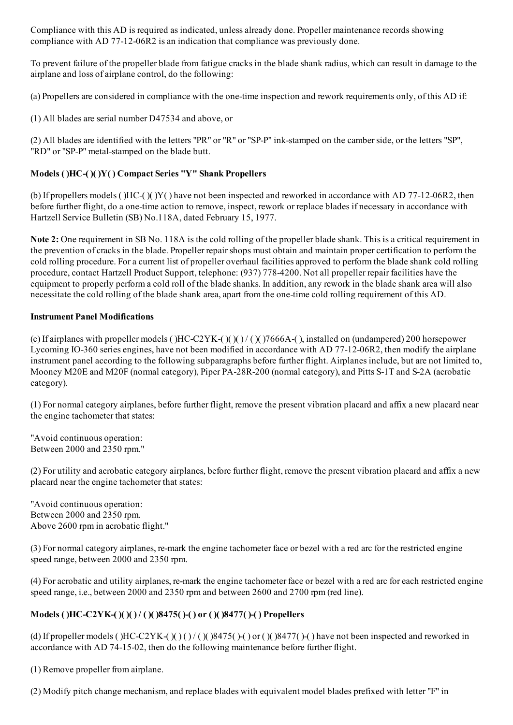Compliance with this AD is required as indicated, unless already done. Propeller maintenance records showing compliance with AD 77-12-06R2 is an indication that compliance was previously done.

To prevent failure of the propeller blade from fatigue cracks in the blade shank radius, which can result in damage to the airplane and loss of airplane control, do the following:

(a) Propellers are considered in compliance with the one-time inspection and rework requirements only, of this AD if:

(1) All blades are serial number D47534 and above, or

(2) All blades are identified with the letters "PR" or "R" or "SP-P" ink-stamped on the camber side, or the letters "SP", "RD" or "SP-P" metal-stamped on the blade butt.

### Models ( )HC( )( )Y( ) Compact Series "Y" Shank Propellers

(b) If propellers models ( $H_{C}(\mathcal{C})$  )Y( ) have not been inspected and reworked in accordance with AD 77-12-06R2, then before further flight, do a one-time action to remove, inspect, rework or replace blades if necessary in accordance with Hartzell Service Bulletin (SB) No.118A, dated February 15, 1977.

Note 2: One requirement in SB No. 118A is the cold rolling of the propeller blade shank. This is a critical requirement in the prevention of cracks in the blade. Propeller repairshops must obtain and maintain proper certification to perform the cold rolling procedure. For a current list of propeller overhaul facilities approved to perform the blade shank cold rolling procedure, contact Hartzell Product Support, telephone: (937) 7784200. Not all propeller repair facilities have the equipment to properly perform a cold roll of the blade shanks. In addition, any rework in the blade shank area will also necessitate the cold rolling of the blade shank area, apart from the one-time cold rolling requirement of this AD.

#### Instrument Panel Modifications

(c) If airplanes with propeller models ( $HCC2YK-(1)$  )( $(1)$  /( $(2)$ ) 7666A-( $(2)$ , installed on (undampered) 200 horsepower Lycoming IO-360 series engines, have not been modified in accordance with AD 77-12-06R2, then modify the airplane instrument panel according to the following subparagraphs before further flight. Airplanes include, but are not limited to, Mooney M20E and M20F (normal category), Piper PA-28R-200 (normal category), and Pitts S-1T and S-2A (acrobatic category).

(1) For normal category airplanes, before further flight, remove the present vibration placard and affix a new placard near the engine tachometer that states:

"Avoid continuous operation: Between 2000 and 2350 rpm."

(2) For utility and acrobatic category airplanes, before further flight, remove the present vibration placard and affix a new placard near the engine tachometer that states:

"Avoid continuous operation: Between 2000 and 2350 rpm. Above 2600 rpm in acrobatic flight."

(3) For normal category airplanes, remark the engine tachometer face or bezel with a red arc for the restricted engine speed range, between 2000 and 2350 rpm.

(4) For acrobatic and utility airplanes, re-mark the engine tachometer face or bezel with a red arc for each restricted engine speed range, i.e., between 2000 and 2350 rpm and between 2600 and 2700 rpm (red line).

#### Models ( )HC-C2YK-( )( )( ) / ( )( )8475( )-( ) or ( )( )8477( )-( ) Propellers

(d) If propeller models ()HC-C2YK- $( )()()()()$  ()8475( )- $( )$  or ()()8477( )-() have not been inspected and reworked in accordance with AD 74-15-02, then do the following maintenance before further flight.

(1) Remove propeller from airplane.

(2) Modify pitch change mechanism, and replace blades with equivalent model blades prefixed with letter "F" in